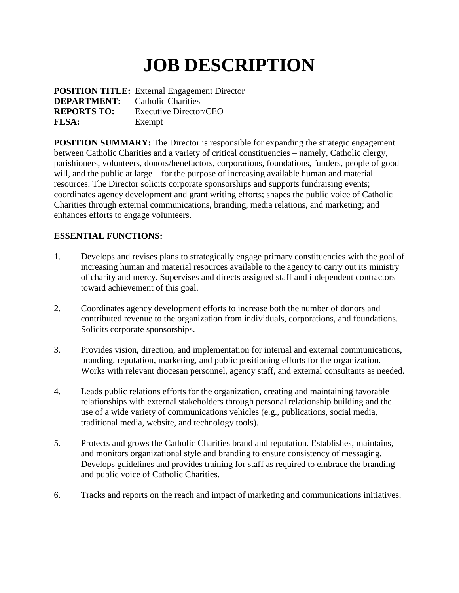## **JOB DESCRIPTION**

|                                       | <b>POSITION TITLE:</b> External Engagement Director |
|---------------------------------------|-----------------------------------------------------|
| <b>DEPARTMENT:</b> Catholic Charities |                                                     |
| <b>REPORTS TO:</b>                    | Executive Director/CEO                              |
| <b>FLSA:</b>                          | Exempt                                              |

**POSITION SUMMARY:** The Director is responsible for expanding the strategic engagement between Catholic Charities and a variety of critical constituencies – namely, Catholic clergy, parishioners, volunteers, donors/benefactors, corporations, foundations, funders, people of good will, and the public at large – for the purpose of increasing available human and material resources. The Director solicits corporate sponsorships and supports fundraising events; coordinates agency development and grant writing efforts; shapes the public voice of Catholic Charities through external communications, branding, media relations, and marketing; and enhances efforts to engage volunteers.

## **ESSENTIAL FUNCTIONS:**

- 1. Develops and revises plans to strategically engage primary constituencies with the goal of increasing human and material resources available to the agency to carry out its ministry of charity and mercy. Supervises and directs assigned staff and independent contractors toward achievement of this goal.
- 2. Coordinates agency development efforts to increase both the number of donors and contributed revenue to the organization from individuals, corporations, and foundations. Solicits corporate sponsorships.
- 3. Provides vision, direction, and implementation for internal and external communications, branding, reputation, marketing, and public positioning efforts for the organization. Works with relevant diocesan personnel, agency staff, and external consultants as needed.
- 4. Leads public relations efforts for the organization, creating and maintaining favorable relationships with external stakeholders through personal relationship building and the use of a wide variety of communications vehicles (e.g., publications, social media, traditional media, website, and technology tools).
- 5. Protects and grows the Catholic Charities brand and reputation. Establishes, maintains, and monitors organizational style and branding to ensure consistency of messaging. Develops guidelines and provides training for staff as required to embrace the branding and public voice of Catholic Charities.
- 6. Tracks and reports on the reach and impact of marketing and communications initiatives.